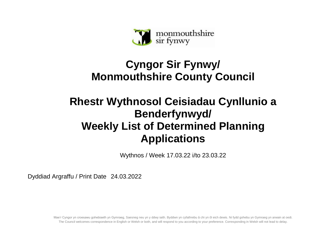

## **Cyngor Sir Fynwy/ Monmouthshire County Council**

## **Rhestr Wythnosol Ceisiadau Cynllunio a Benderfynwyd/ Weekly List of Determined Planning Applications**

Wythnos / Week 17.03.22 i/to 23.03.22

Dyddiad Argraffu / Print Date 24.03.2022

Mae'r Cyngor yn croesawu gohebiaeth yn Gymraeg, Saesneg neu yn y ddwy iaith. Byddwn yn cyfathrebu â chi yn ôl eich dewis. Ni fydd gohebu yn Gymraeg yn arwain at oedi. The Council welcomes correspondence in English or Welsh or both, and will respond to you according to your preference. Corresponding in Welsh will not lead to delay.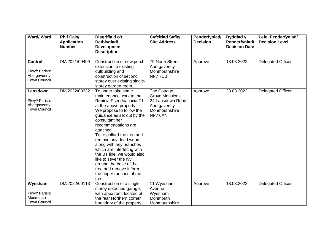| Ward/Ward                                                              | <b>Rhif Cais/</b><br><b>Application</b><br><b>Number</b> | Disgrifia d o'r<br>Datblygiad/<br><b>Development</b><br><b>Description</b>                                                                                                                                                                                                                                                                                                                                                                                                         | <b>Cyfeiriad Safle/</b><br><b>Site Address</b>                                                      | Penderfyniad/<br><b>Decision</b> | Dyddiad y<br>Penderfyniad/<br><b>Decision Date</b> | Lefel Penderfyniad/<br><b>Decision Level</b> |
|------------------------------------------------------------------------|----------------------------------------------------------|------------------------------------------------------------------------------------------------------------------------------------------------------------------------------------------------------------------------------------------------------------------------------------------------------------------------------------------------------------------------------------------------------------------------------------------------------------------------------------|-----------------------------------------------------------------------------------------------------|----------------------------------|----------------------------------------------------|----------------------------------------------|
| <b>Cantref</b><br>Plwyf/ Parish:<br>Abergavenny<br><b>Town Council</b> | DM/2021/00499                                            | Construction of new porch,<br>extension to existing<br>outbuilding and<br>construction of second<br>storey over existing single-<br>storey garden room.                                                                                                                                                                                                                                                                                                                            | 79 North Street<br>Abergavenny<br>Monmouthshire<br>NP77EB                                           | Approve                          | 18.03.2022                                         | <b>Delegated Officer</b>                     |
| Lansdown<br>Plwyf/ Parish:<br>Abergavenny<br><b>Town Council</b>       | DM/2022/00332                                            | To under take some<br>maintenance work to the<br>Robinia Pseudoacacia T1<br>at the above property.<br>We propose to follow the<br>guidance as set out by the<br>consultant her<br>recommendations are<br>attached.<br>To re pollard the tree and<br>remove any dead wood<br>along with any branches<br>which are interfering with<br>the BT line, we would also<br>like to sever the Ivy<br>around the base of the<br>tree and remove it form<br>the upper ranches of the<br>tree. | The Cottage<br><b>Grove Mansions</b><br>24 Lansdown Road<br>Abergavenny<br>Monmouthshire<br>NP7 6AN | Approve                          | 23.03.2022                                         | <b>Delegated Officer</b>                     |
| Wyesham                                                                | DM/2022/00113                                            | Construction of a single<br>storey detached garage,                                                                                                                                                                                                                                                                                                                                                                                                                                | 11 Wyesham<br>Avenue                                                                                | Approve                          | 18.03.2022                                         | Delegated Officer                            |
| Plwyf/ Parish:                                                         |                                                          | with apex roof. located at                                                                                                                                                                                                                                                                                                                                                                                                                                                         | Wyesham                                                                                             |                                  |                                                    |                                              |
| Monmouth                                                               |                                                          | the rear Northern corner                                                                                                                                                                                                                                                                                                                                                                                                                                                           | Monmouth                                                                                            |                                  |                                                    |                                              |
| <b>Town Council</b>                                                    |                                                          | boundary of the property                                                                                                                                                                                                                                                                                                                                                                                                                                                           | Monmouthshire                                                                                       |                                  |                                                    |                                              |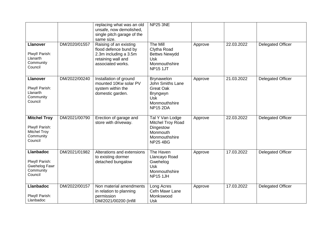|                                                                                      |               | replacing what was an old<br>unsafe, now demolished,<br>single pitch garage of the<br>same size.                    | <b>NP25 3NE</b>                                                                                                         |         |            |                          |
|--------------------------------------------------------------------------------------|---------------|---------------------------------------------------------------------------------------------------------------------|-------------------------------------------------------------------------------------------------------------------------|---------|------------|--------------------------|
| <b>Llanover</b><br>Plwyf/ Parish:<br>Llanarth<br>Community<br>Council                | DM/2020/01557 | Raising of an existing<br>flood defence bund by<br>2.3m including a 3.5m<br>retaining wall and<br>associated works. | The Mill<br>Clytha Road<br><b>Bettws Newydd</b><br><b>Usk</b><br>Monmouthshire<br><b>NP15 1JT</b>                       | Approve | 22.03.2022 | <b>Delegated Officer</b> |
| <b>Llanover</b><br>Plwyf/ Parish:<br>Llanarth<br>Community<br>Council                | DM/2022/00240 | Installation of ground<br>mounted 10Kw solar PV<br>system within the<br>domestic garden.                            | <b>Brynawelon</b><br>John Smiths Lane<br><b>Great Oak</b><br>Bryngwyn<br><b>Usk</b><br>Monmouthshire<br><b>NP15 2DA</b> | Approve | 21.03.2022 | <b>Delegated Officer</b> |
| <b>Mitchel Troy</b><br>Plwyf/ Parish:<br><b>Mitchel Troy</b><br>Community<br>Council | DM/2021/00790 | Erection of garage and<br>store with driveway.                                                                      | Tal Y Van Lodge<br><b>Mitchel Troy Road</b><br>Dingestow<br>Monmouth<br>Monmouthshire<br><b>NP25 4BG</b>                | Approve | 22.03.2022 | <b>Delegated Officer</b> |
| <b>Llanbadoc</b><br>Plwyf/ Parish:<br>Gwehelog Fawr<br>Community<br>Council          | DM/2021/01982 | Alterations and extensions<br>to existing dormer<br>detached bungalow                                               | The Haven<br>Llancayo Road<br>Gwehelog<br><b>Usk</b><br>Monmouthshire<br><b>NP15 1JH</b>                                | Approve | 17.03.2022 | <b>Delegated Officer</b> |
| <b>Llanbadoc</b><br>Plwyf/ Parish:<br>Llanbadoc                                      | DM/2022/00157 | Non material amendments<br>in relation to planning<br>permission<br>DM/2021/00200 (Infill                           | Long Acres<br>Cefn Mawr Lane<br>Monkswood<br><b>Usk</b>                                                                 | Approve | 17.03.2022 | <b>Delegated Officer</b> |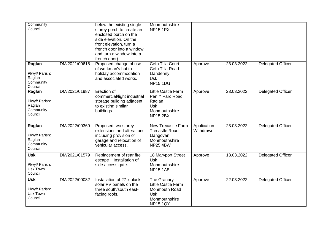| Community<br>Council                                       |               | below the existing single<br>storey porch to create an<br>enclosed porch on the<br>side elevation. On the<br>front elevation, turn a<br>french door into a window<br>and turn a window into a<br>french door) | Monmouthshire<br><b>NP15 1PX</b>                                                                     |                          |            |                          |
|------------------------------------------------------------|---------------|---------------------------------------------------------------------------------------------------------------------------------------------------------------------------------------------------------------|------------------------------------------------------------------------------------------------------|--------------------------|------------|--------------------------|
| Raglan<br>Plwyf/ Parish:<br>Raglan<br>Community<br>Council | DM/2021/00618 | Proposed change of use<br>of workman's hut to<br>holiday accommodation<br>and associated works.                                                                                                               | Cefn Tilla Court<br>Cefn Tilla Road<br>Llandenny<br><b>Usk</b><br><b>NP15 1DG</b>                    | Approve                  | 23.03.2022 | <b>Delegated Officer</b> |
| Raglan<br>Plwyf/ Parish:<br>Raglan<br>Community<br>Council | DM/2021/01987 | Erection of<br>commercial/light industrial<br>storage building adjacent<br>to existing similar<br>buildings.                                                                                                  | Little Castle Farm<br>Pen Y Parc Road<br>Raglan<br><b>Usk</b><br>Monmouthshire<br><b>NP15 2BX</b>    | Approve                  | 23.03.2022 | <b>Delegated Officer</b> |
| Raglan<br>Plwyf/ Parish:<br>Raglan<br>Community<br>Council | DM/2022/00369 | Proposed two storey<br>extensions and alterations,<br>including provision of<br>garage and relocation of<br>vehicular access.                                                                                 | New Trecastle Farm<br><b>Trecastle Road</b><br>Llangovan<br>Monmouthshire<br><b>NP25 4BW</b>         | Application<br>Withdrawn | 23.03.2022 | <b>Delegated Officer</b> |
| <b>Usk</b><br>Plwyf/ Parish:<br>Usk Town<br>Council        | DM/2021/01579 | Replacement of rear fire<br>escape _ Installation of<br>side access gate.                                                                                                                                     | 18 Maryport Street<br><b>Usk</b><br>Monmouthshire<br><b>NP15 1AE</b>                                 | Approve                  | 18.03.2022 | <b>Delegated Officer</b> |
| <b>Usk</b><br>Plwyf/ Parish:<br>Usk Town<br>Council        | DM/2022/00082 | Installation of 27 x black<br>solar PV panels on the<br>three south/south east-<br>facing roofs.                                                                                                              | The Granary<br>Little Castle Farm<br>Monmouth Road<br><b>Usk</b><br>Monmouthshire<br><b>NP15 1QY</b> | Approve                  | 22.03.2022 | <b>Delegated Officer</b> |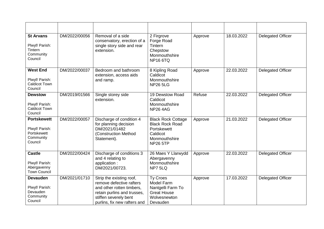| <b>St Arvans</b><br>Plwyf/ Parish:<br>Tintern<br>Community<br>Council       | DM/2022/00056 | Removal of a side<br>conservatory, erection of a<br>single story side and rear<br>extension.                                                                              | 2 Firgrove<br>Forge Road<br>Tintern<br>Chepstow<br>Monmouthshire<br><b>NP16 6TQ</b>                                | Approve | 18.03.2022 | <b>Delegated Officer</b> |
|-----------------------------------------------------------------------------|---------------|---------------------------------------------------------------------------------------------------------------------------------------------------------------------------|--------------------------------------------------------------------------------------------------------------------|---------|------------|--------------------------|
| <b>West End</b><br>Plwyf/ Parish:<br><b>Caldicot Town</b><br>Council        | DM/2022/00037 | Bedroom and bathroom<br>extension, access aids<br>and ramp.                                                                                                               | 8 Kipling Road<br>Caldicot<br>Monmouthshire<br><b>NP26 5LG</b>                                                     | Approve | 22.03.2022 | <b>Delegated Officer</b> |
| <b>Dewstow</b><br>Plwyf/ Parish:<br><b>Caldicot Town</b><br>Council         | DM/2019/01566 | Single storey side<br>extension.                                                                                                                                          | 19 Dewstow Road<br>Caldicot<br>Monmouthshire<br><b>NP26 4AG</b>                                                    | Refuse  | 22.03.2022 | <b>Delegated Officer</b> |
| <b>Portskewett</b><br>Plwyf/ Parish:<br>Portskewett<br>Community<br>Council | DM/2022/00057 | Discharge of condition 4<br>for planning decision<br>DM/2021/01482<br>(Construction Method<br>Statement).                                                                 | <b>Black Rock Cottage</b><br><b>Black Rock Road</b><br>Portskewett<br>Caldicot<br>Monmouthshire<br><b>NP26 5TP</b> | Approve | 21.03.2022 | <b>Delegated Officer</b> |
| <b>Castle</b><br>Plwyf/ Parish:<br>Abergavenny<br><b>Town Council</b>       | DM/2022/00424 | Discharge of conditions 3<br>and 4 relating to<br>application :<br>DM/2021/00723.                                                                                         | 26 Maes Y Llarwydd<br>Abergavenny<br>Monmouthshire<br>NP7 5LQ                                                      | Approve | 22.03.2022 | <b>Delegated Officer</b> |
| <b>Devauden</b><br>Plwyf/ Parish:<br>Devauden<br>Community<br>Council       | DM/2021/01710 | Strip the existing roof,<br>remove defective rafters<br>and other rotten timbers,<br>retain purlins and trusses,<br>stiffen severely bent<br>purlins, fix new rafters and | <b>Ty Croes</b><br>Model Farm<br>Nantgelli Farm To<br><b>Great House</b><br>Wolvesnewton<br>Devauden               | Approve | 17.03.2022 | <b>Delegated Officer</b> |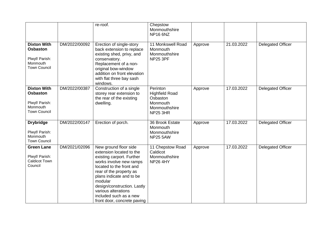|                                                                                            |               | re-roof.                                                                                                                                                                                                                                                                                                               | Chepstow<br>Monmouthshire<br><b>NP16 6NZ</b>                                                  |         |            |                          |
|--------------------------------------------------------------------------------------------|---------------|------------------------------------------------------------------------------------------------------------------------------------------------------------------------------------------------------------------------------------------------------------------------------------------------------------------------|-----------------------------------------------------------------------------------------------|---------|------------|--------------------------|
| <b>Dixton With</b><br><b>Osbaston</b><br>Plwyf/ Parish:<br>Monmouth<br><b>Town Council</b> | DM/2022/00092 | Erection of single-story<br>back extension to replace<br>existing shed, privy, and<br>conservatory.<br>Replacement of a non-<br>original bow-window<br>addition on front elevation<br>with flat three bay sash<br>windows.                                                                                             | 11 Monkswell Road<br>Monmouth<br>Monmouthshire<br><b>NP25 3PF</b>                             | Approve | 21.03.2022 | <b>Delegated Officer</b> |
| <b>Dixton With</b><br><b>Osbaston</b><br>Plwyf/ Parish:<br>Monmouth<br><b>Town Council</b> | DM/2022/00387 | Construction of a single<br>storey rear extension to<br>the rear of the existing<br>dwelling.                                                                                                                                                                                                                          | Perinton<br><b>Highfield Road</b><br>Osbaston<br>Monmouth<br>Monmouthshire<br><b>NP25 3HR</b> | Approve | 17.03.2022 | <b>Delegated Officer</b> |
| <b>Drybridge</b><br>Plwyf/ Parish:<br>Monmouth<br><b>Town Council</b>                      | DM/2022/00147 | Erection of porch.                                                                                                                                                                                                                                                                                                     | 36 Brook Estate<br>Monmouth<br>Monmouthshire<br><b>NP25 5AW</b>                               | Approve | 17.03.2022 | Delegated Officer        |
| <b>Green Lane</b><br>Plwyf/ Parish:<br><b>Caldicot Town</b><br>Council                     | DM/2021/02096 | New ground floor side<br>extension located to the<br>existing carport. Further<br>works involve new ramps<br>located to the front and<br>rear of the property as<br>plans indicate and to be<br>modular<br>design/construction. Lastly<br>various alterations<br>included such as a new<br>front door, concrete paving | 11 Chepstow Road<br>Caldicot<br>Monmouthshire<br><b>NP26 4HY</b>                              | Approve | 17.03.2022 | <b>Delegated Officer</b> |